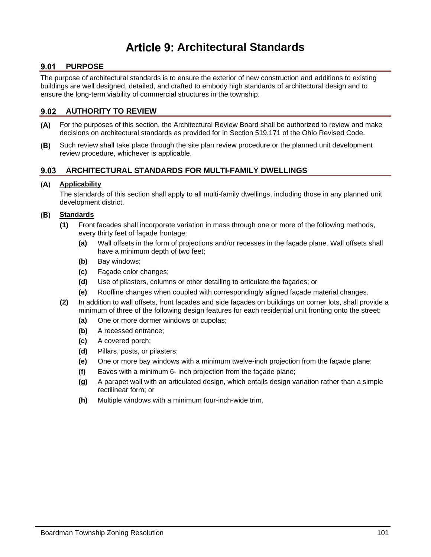# **Architectural Standards**

# 9.01 PURPOSE

The purpose of architectural standards is to ensure the exterior of new construction and additions to existing buildings are well designed, detailed, and crafted to embody high standards of architectural design and to ensure the long-term viability of commercial structures in the township.

# **AUTHORITY TO REVIEW**

- For the purposes of this section, the Architectural Review Board shall be authorized to review and make  $(A)$ decisions on architectural standards as provided for in Section 519.171 of the Ohio Revised Code.
- Such review shall take place through the site plan review procedure or the planned unit development (B) review procedure, whichever is applicable.

# **ARCHITECTURAL STANDARDS FOR MULTI-FAMILY DWELLINGS**

### **Applicability**

The standards of this section shall apply to all multi-family dwellings, including those in any planned unit development district.

# **Standards**

- **(1)** Front facades shall incorporate variation in mass through one or more of the following methods, every thirty feet of façade frontage:
	- **(a)** Wall offsets in the form of projections and/or recesses in the façade plane. Wall offsets shall have a minimum depth of two feet;
	- **(b)** Bay windows;
	- **(c)** Façade color changes;
	- **(d)** Use of pilasters, columns or other detailing to articulate the façades; or
	- **(e)** Roofline changes when coupled with correspondingly aligned façade material changes.
- **(2)** In addition to wall offsets, front facades and side façades on buildings on corner lots, shall provide a minimum of three of the following design features for each residential unit fronting onto the street:
	- **(a)** One or more dormer windows or cupolas;
	- **(b)** A recessed entrance;
	- **(c)** A covered porch;
	- **(d)** Pillars, posts, or pilasters;
	- **(e)** One or more bay windows with a minimum twelve-inch projection from the façade plane;
	- **(f)** Eaves with a minimum 6- inch projection from the façade plane;
	- **(g)** A parapet wall with an articulated design, which entails design variation rather than a simple rectilinear form; or
	- **(h)** Multiple windows with a minimum four-inch-wide trim.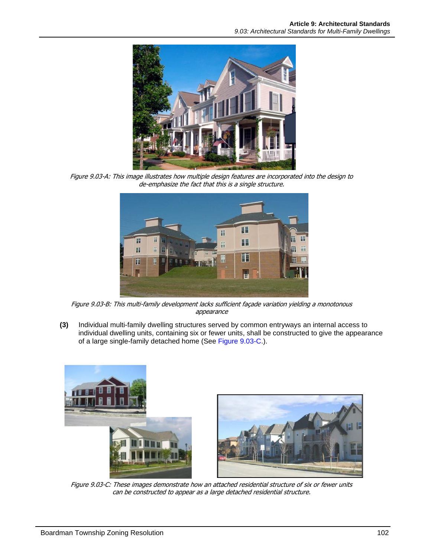

Figure 9.03-A: This image illustrates how multiple design features are incorporated into the design to de-emphasize the fact that this is a single structure.



Figure 9.03-B: This multi-family development lacks sufficient façade variation yielding a monotonous appearance

**(3)** Individual multi-family dwelling structures served by common entryways an internal access to individual dwelling units, containing six or fewer units, shall be constructed to give the appearance of a large single-family detached home (See [Figure 9.03-C.](#page-1-0)).

<span id="page-1-0"></span>

Figure 9.03-C: These images demonstrate how an attached residential structure of six or fewer units can be constructed to appear as a large detached residential structure.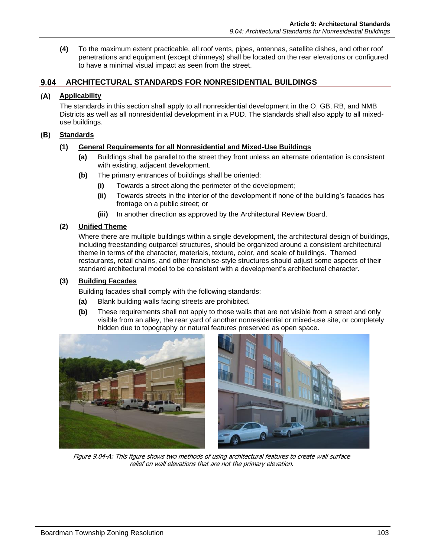**(4)** To the maximum extent practicable, all roof vents, pipes, antennas, satellite dishes, and other roof penetrations and equipment (except chimneys) shall be located on the rear elevations or configured to have a minimal visual impact as seen from the street.

# **ARCHITECTURAL STANDARDS FOR NONRESIDENTIAL BUILDINGS**

### **Applicability**

The standards in this section shall apply to all nonresidential development in the O, GB, RB, and NMB Districts as well as all nonresidential development in a PUD. The standards shall also apply to all mixeduse buildings.

#### **Standards**

### **(1) General Requirements for all Nonresidential and Mixed-Use Buildings**

- **(a)** Buildings shall be parallel to the street they front unless an alternate orientation is consistent with existing, adjacent development.
- **(b)** The primary entrances of buildings shall be oriented:
	- **(i)** Towards a street along the perimeter of the development;
	- **(ii)** Towards streets in the interior of the development if none of the building's facades has frontage on a public street; or
	- **(iii)** In another direction as approved by the Architectural Review Board.

#### **(2) Unified Theme**

Where there are multiple buildings within a single development, the architectural design of buildings, including freestanding outparcel structures, should be organized around a consistent architectural theme in terms of the character, materials, texture, color, and scale of buildings. Themed restaurants, retail chains, and other franchise-style structures should adjust some aspects of their standard architectural model to be consistent with a development's architectural character.

#### **(3) Building Facades**

Building facades shall comply with the following standards:

- **(a)** Blank building walls facing streets are prohibited.
- **(b)** These requirements shall not apply to those walls that are not visible from a street and only visible from an alley, the rear yard of another nonresidential or mixed-use site, or completely hidden due to topography or natural features preserved as open space.





Figure 9.04-A: This figure shows two methods of using architectural features to create wall surface relief on wall elevations that are not the primary elevation.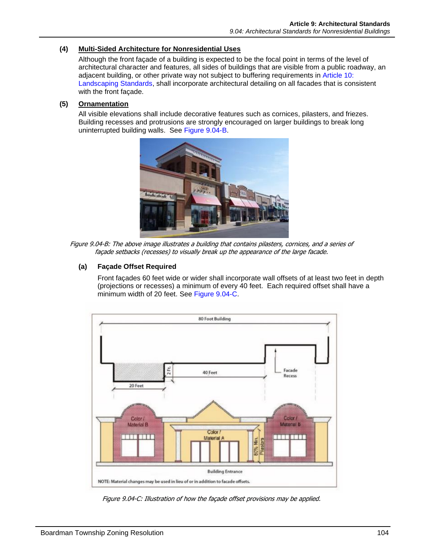## **(4) Multi-Sided Architecture for Nonresidential Uses**

Although the front façade of a building is expected to be the focal point in terms of the level of architectural character and features, all sides of buildings that are visible from a public roadway, an adjacent building, or other private way not subject to buffering requirements in Article 10: Landscaping Standards, shall incorporate architectural detailing on all facades that is consistent with the front façade.

## **(5) Ornamentation**

All visible elevations shall include decorative features such as cornices, pilasters, and friezes. Building recesses and protrusions are strongly encouraged on larger buildings to break long uninterrupted building walls. See [Figure 9.04-B.](#page-3-0)



Figure 9.04-B: The above image illustrates a building that contains pilasters, cornices, and a series of façade setbacks (recesses) to visually break up the appearance of the large facade.

### <span id="page-3-0"></span>**(a) Façade Offset Required**

Front façades 60 feet wide or wider shall incorporate wall offsets of at least two feet in depth (projections or recesses) a minimum of every 40 feet. Each required offset shall have a minimum width of 20 feet. See [Figure 9.04-C.](#page-3-1)



<span id="page-3-1"></span>Figure 9.04-C: Illustration of how the façade offset provisions may be applied.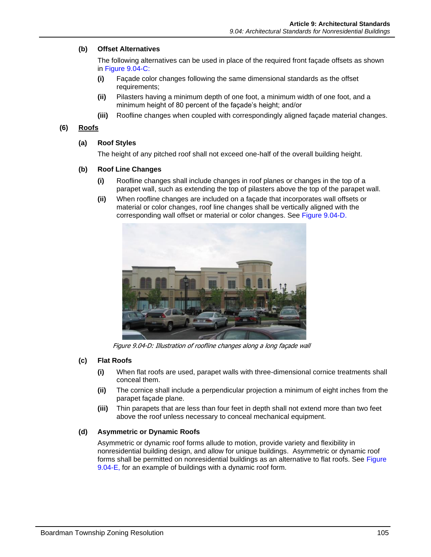## **(b) Offset Alternatives**

The following alternatives can be used in place of the required front façade offsets as shown in [Figure 9.04-C:](#page-3-1)

- **(i)** Façade color changes following the same dimensional standards as the offset requirements;
- **(ii)** Pilasters having a minimum depth of one foot, a minimum width of one foot, and a minimum height of 80 percent of the façade's height; and/or
- **(iii)** Roofline changes when coupled with correspondingly aligned façade material changes.

## **(6) Roofs**

#### **(a) Roof Styles**

The height of any pitched roof shall not exceed one-half of the overall building height.

### **(b) Roof Line Changes**

- **(i)** Roofline changes shall include changes in roof planes or changes in the top of a parapet wall, such as extending the top of pilasters above the top of the parapet wall.
- **(ii)** When roofline changes are included on a façade that incorporates wall offsets or material or color changes, roof line changes shall be vertically aligned with the corresponding wall offset or material or color changes. See [Figure 9.04-D.](#page-4-0)



Figure 9.04-D: Illustration of roofline changes along a long façade wall

### <span id="page-4-0"></span>**(c) Flat Roofs**

- **(i)** When flat roofs are used, parapet walls with three-dimensional cornice treatments shall conceal them.
- **(ii)** The cornice shall include a perpendicular projection a minimum of eight inches from the parapet façade plane.
- **(iii)** Thin parapets that are less than four feet in depth shall not extend more than two feet above the roof unless necessary to conceal mechanical equipment.

### **(d) Asymmetric or Dynamic Roofs**

Asymmetric or dynamic roof forms allude to motion, provide variety and flexibility in nonresidential building design, and allow for unique buildings. Asymmetric or dynamic roof forms shall be permitted on nonresidential buildings as an alternative to flat roofs. See [Figure](#page-5-0)  [9.04-E,](#page-5-0) for an example of buildings with a dynamic roof form.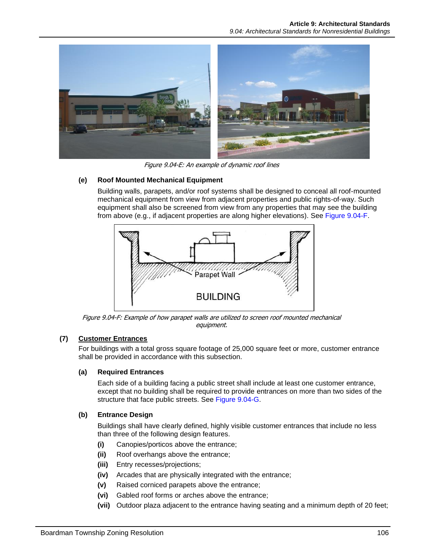

Figure 9.04-E: An example of dynamic roof lines

# <span id="page-5-0"></span>**(e) Roof Mounted Mechanical Equipment**

Building walls, parapets, and/or roof systems shall be designed to conceal all roof-mounted mechanical equipment from view from adjacent properties and public rights-of-way. Such equipment shall also be screened from view from any properties that may see the building from above (e.g., if adjacent properties are along higher elevations). See [Figure 9.04-F.](#page-5-1)



Figure 9.04-F: Example of how parapet walls are utilized to screen roof mounted mechanical equipment.

# <span id="page-5-1"></span>**(7) Customer Entrances**

For buildings with a total gross square footage of 25,000 square feet or more, customer entrance shall be provided in accordance with this subsection.

### **(a) Required Entrances**

Each side of a building facing a public street shall include at least one customer entrance, except that no building shall be required to provide entrances on more than two sides of the structure that face public streets. See [Figure 9.04-G.](#page-6-0)

### **(b) Entrance Design**

Buildings shall have clearly defined, highly visible customer entrances that include no less than three of the following design features.

- **(i)** Canopies/porticos above the entrance;
- **(ii)** Roof overhangs above the entrance;
- **(iii)** Entry recesses/projections;
- **(iv)** Arcades that are physically integrated with the entrance;
- **(v)** Raised corniced parapets above the entrance;
- **(vi)** Gabled roof forms or arches above the entrance;
- **(vii)** Outdoor plaza adjacent to the entrance having seating and a minimum depth of 20 feet;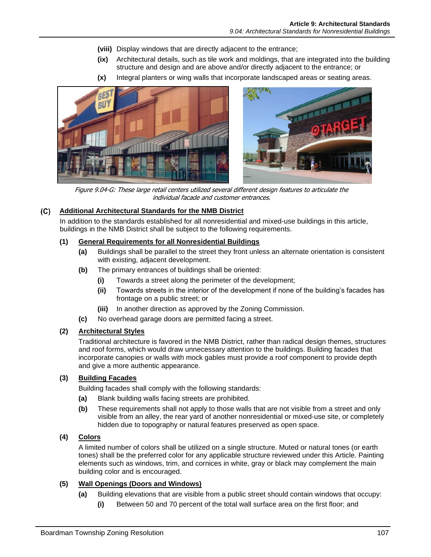- **(viii)** Display windows that are directly adjacent to the entrance;
- **(ix)** Architectural details, such as tile work and moldings, that are integrated into the building structure and design and are above and/or directly adjacent to the entrance; or
- **(x)** Integral planters or wing walls that incorporate landscaped areas or seating areas.





Figure 9.04-G: These large retail centers utilized several different design features to articulate the individual facade and customer entrances.

#### <span id="page-6-0"></span>**Additional Architectural Standards for the NMB District**

In addition to the standards established for all nonresidential and mixed-use buildings in this article, buildings in the NMB District shall be subject to the following requirements.

#### **(1) General Requirements for all Nonresidential Buildings**

- **(a)** Buildings shall be parallel to the street they front unless an alternate orientation is consistent with existing, adjacent development.
- **(b)** The primary entrances of buildings shall be oriented:
	- **(i)** Towards a street along the perimeter of the development;
	- **(ii)** Towards streets in the interior of the development if none of the building's facades has frontage on a public street; or
	- **(iii)** In another direction as approved by the Zoning Commission.
- **(c)** No overhead garage doors are permitted facing a street.

#### **(2) Architectural Styles**

Traditional architecture is favored in the NMB District, rather than radical design themes, structures and roof forms, which would draw unnecessary attention to the buildings. Building facades that incorporate canopies or walls with mock gables must provide a roof component to provide depth and give a more authentic appearance.

#### **(3) Building Facades**

Building facades shall comply with the following standards:

- **(a)** Blank building walls facing streets are prohibited.
- **(b)** These requirements shall not apply to those walls that are not visible from a street and only visible from an alley, the rear yard of another nonresidential or mixed-use site, or completely hidden due to topography or natural features preserved as open space.

#### **(4) Colors**

A limited number of colors shall be utilized on a single structure. Muted or natural tones (or earth tones) shall be the preferred color for any applicable structure reviewed under this Article. Painting elements such as windows, trim, and cornices in white, gray or black may complement the main building color and is encouraged.

#### **(5) Wall Openings (Doors and Windows)**

- **(a)** Building elevations that are visible from a public street should contain windows that occupy:
	- **(i)** Between 50 and 70 percent of the total wall surface area on the first floor; and